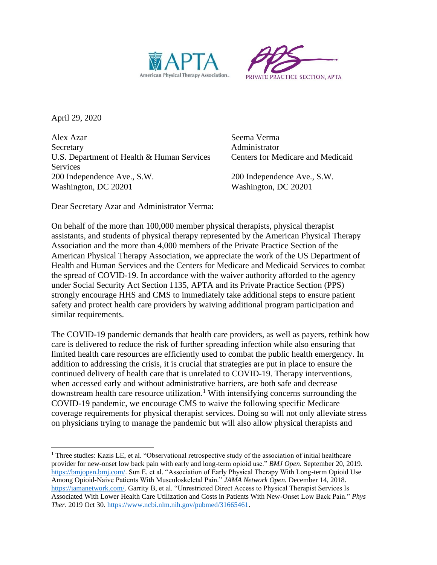



April 29, 2020

Alex Azar Seema Verma Secretary **Administrator** U.S. Department of Health & Human Services Centers for Medicare and Medicaid **Services** 200 Independence Ave., S.W. 200 Independence Ave., S.W. Washington, DC 20201 Washington, DC 20201

Dear Secretary Azar and Administrator Verma:

On behalf of the more than 100,000 member physical therapists, physical therapist assistants, and students of physical therapy represented by the American Physical Therapy Association and the more than 4,000 members of the Private Practice Section of the American Physical Therapy Association, we appreciate the work of the US Department of Health and Human Services and the Centers for Medicare and Medicaid Services to combat the spread of COVID-19. In accordance with the waiver authority afforded to the agency under Social Security Act Section 1135, APTA and its Private Practice Section (PPS) strongly encourage HHS and CMS to immediately take additional steps to ensure patient safety and protect health care providers by waiving additional program participation and similar requirements.

The COVID-19 pandemic demands that health care providers, as well as payers, rethink how care is delivered to reduce the risk of further spreading infection while also ensuring that limited health care resources are efficiently used to combat the public health emergency. In addition to addressing the crisis, it is crucial that strategies are put in place to ensure the continued delivery of health care that is unrelated to COVID-19. Therapy interventions, when accessed early and without administrative barriers, are both safe and decrease downstream health care resource utilization. <sup>1</sup> With intensifying concerns surrounding the COVID-19 pandemic, we encourage CMS to waive the following specific Medicare coverage requirements for physical therapist services. Doing so will not only alleviate stress on physicians trying to manage the pandemic but will also allow physical therapists and

<sup>&</sup>lt;sup>1</sup> Three studies: Kazis LE, et al. "Observational retrospective study of the association of initial healthcare provider for new-onset low back pain with early and long-term opioid use." *BMJ Open.* September 20, 2019. [https://bmjopen.bmj.com/.](https://bmjopen.bmj.com/) Sun E, et al. "Association of Early Physical Therapy With Long-term Opioid Use Among Opioid-Naive Patients With Musculoskeletal Pain." *JAMA Network Open.* December 14, 2018. [https://jamanetwork.com/.](https://jamanetwork.com/) Garrity B, et al. "Unrestricted Direct Access to Physical Therapist Services Is Associated With Lower Health Care Utilization and Costs in Patients With New-Onset Low Back Pain." *Phys Ther*. 2019 Oct 30. [https://www.ncbi.nlm.nih.gov/pubmed/31665461.](https://www.ncbi.nlm.nih.gov/pubmed/31665461)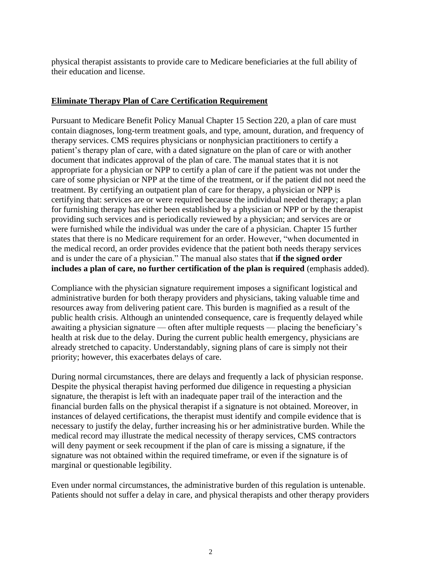physical therapist assistants to provide care to Medicare beneficiaries at the full ability of their education and license.

## **Eliminate Therapy Plan of Care Certification Requirement**

Pursuant to Medicare Benefit Policy Manual Chapter 15 Section 220, a plan of care must contain diagnoses, long-term treatment goals, and type, amount, duration, and frequency of therapy services. CMS requires physicians or nonphysician practitioners to certify a patient's therapy plan of care, with a dated signature on the plan of care or with another document that indicates approval of the plan of care. The manual states that it is not appropriate for a physician or NPP to certify a plan of care if the patient was not under the care of some physician or NPP at the time of the treatment, or if the patient did not need the treatment. By certifying an outpatient plan of care for therapy, a physician or NPP is certifying that: services are or were required because the individual needed therapy; a plan for furnishing therapy has either been established by a physician or NPP or by the therapist providing such services and is periodically reviewed by a physician; and services are or were furnished while the individual was under the care of a physician. Chapter 15 further states that there is no Medicare requirement for an order. However, "when documented in the medical record, an order provides evidence that the patient both needs therapy services and is under the care of a physician." The manual also states that **if the signed order includes a plan of care, no further certification of the plan is required** (emphasis added).

Compliance with the physician signature requirement imposes a significant logistical and administrative burden for both therapy providers and physicians, taking valuable time and resources away from delivering patient care. This burden is magnified as a result of the public health crisis. Although an unintended consequence, care is frequently delayed while awaiting a physician signature — often after multiple requests — placing the beneficiary's health at risk due to the delay. During the current public health emergency, physicians are already stretched to capacity. Understandably, signing plans of care is simply not their priority; however, this exacerbates delays of care.

During normal circumstances, there are delays and frequently a lack of physician response. Despite the physical therapist having performed due diligence in requesting a physician signature, the therapist is left with an inadequate paper trail of the interaction and the financial burden falls on the physical therapist if a signature is not obtained. Moreover, in instances of delayed certifications, the therapist must identify and compile evidence that is necessary to justify the delay, further increasing his or her administrative burden. While the medical record may illustrate the medical necessity of therapy services, CMS contractors will deny payment or seek recoupment if the plan of care is missing a signature, if the signature was not obtained within the required timeframe, or even if the signature is of marginal or questionable legibility.

Even under normal circumstances, the administrative burden of this regulation is untenable. Patients should not suffer a delay in care, and physical therapists and other therapy providers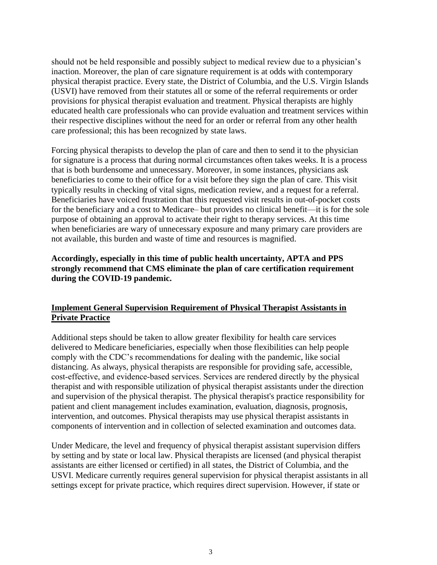should not be held responsible and possibly subject to medical review due to a physician's inaction. Moreover, the plan of care signature requirement is at odds with contemporary physical therapist practice. Every state, the District of Columbia, and the U.S. Virgin Islands (USVI) have removed from their statutes all or some of the referral requirements or order provisions for physical therapist evaluation and treatment. Physical therapists are highly educated health care professionals who can provide evaluation and treatment services within their respective disciplines without the need for an order or referral from any other health care professional; this has been recognized by state laws.

Forcing physical therapists to develop the plan of care and then to send it to the physician for signature is a process that during normal circumstances often takes weeks. It is a process that is both burdensome and unnecessary. Moreover, in some instances, physicians ask beneficiaries to come to their office for a visit before they sign the plan of care. This visit typically results in checking of vital signs, medication review, and a request for a referral. Beneficiaries have voiced frustration that this requested visit results in out-of-pocket costs for the beneficiary and a cost to Medicare– but provides no clinical benefit—it is for the sole purpose of obtaining an approval to activate their right to therapy services. At this time when beneficiaries are wary of unnecessary exposure and many primary care providers are not available, this burden and waste of time and resources is magnified.

## **Accordingly, especially in this time of public health uncertainty, APTA and PPS strongly recommend that CMS eliminate the plan of care certification requirement during the COVID-19 pandemic.**

## **Implement General Supervision Requirement of Physical Therapist Assistants in Private Practice**

Additional steps should be taken to allow greater flexibility for health care services delivered to Medicare beneficiaries, especially when those flexibilities can help people comply with the CDC's recommendations for dealing with the pandemic, like social distancing. As always, physical therapists are responsible for providing safe, accessible, cost‐effective, and evidence‐based services. Services are rendered directly by the physical therapist and with responsible utilization of physical therapist assistants under the direction and supervision of the physical therapist. The physical therapist's practice responsibility for patient and client management includes examination, evaluation, diagnosis, prognosis, intervention, and outcomes. Physical therapists may use physical therapist assistants in components of intervention and in collection of selected examination and outcomes data.

Under Medicare, the level and frequency of physical therapist assistant supervision differs by setting and by state or local law. Physical therapists are licensed (and physical therapist assistants are either licensed or certified) in all states, the District of Columbia, and the USVI. Medicare currently requires general supervision for physical therapist assistants in all settings except for private practice, which requires direct supervision. However, if state or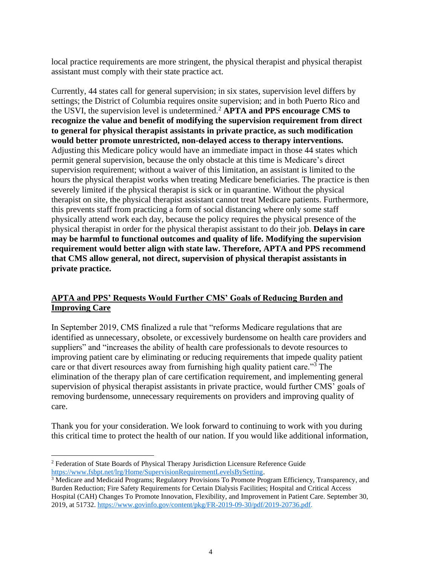local practice requirements are more stringent, the physical therapist and physical therapist assistant must comply with their state practice act.

Currently, 44 states call for general supervision; in six states, supervision level differs by settings; the District of Columbia requires onsite supervision; and in both Puerto Rico and the USVI, the supervision level is undetermined.<sup>2</sup> **APTA and PPS encourage CMS to recognize the value and benefit of modifying the supervision requirement from direct to general for physical therapist assistants in private practice, as such modification would better promote unrestricted, non-delayed access to therapy interventions.**  Adjusting this Medicare policy would have an immediate impact in those 44 states which permit general supervision, because the only obstacle at this time is Medicare's direct supervision requirement; without a waiver of this limitation, an assistant is limited to the hours the physical therapist works when treating Medicare beneficiaries. The practice is then severely limited if the physical therapist is sick or in quarantine. Without the physical therapist on site, the physical therapist assistant cannot treat Medicare patients. Furthermore, this prevents staff from practicing a form of social distancing where only some staff physically attend work each day, because the policy requires the physical presence of the physical therapist in order for the physical therapist assistant to do their job. **Delays in care may be harmful to functional outcomes and quality of life. Modifying the supervision requirement would better align with state law. Therefore, APTA and PPS recommend that CMS allow general, not direct, supervision of physical therapist assistants in private practice.**

## **APTA and PPS' Requests Would Further CMS' Goals of Reducing Burden and Improving Care**

In September 2019, CMS finalized a rule that "reforms Medicare regulations that are identified as unnecessary, obsolete, or excessively burdensome on health care providers and suppliers" and "increases the ability of health care professionals to devote resources to improving patient care by eliminating or reducing requirements that impede quality patient care or that divert resources away from furnishing high quality patient care."<sup>3</sup> The elimination of the therapy plan of care certification requirement, and implementing general supervision of physical therapist assistants in private practice, would further CMS' goals of removing burdensome, unnecessary requirements on providers and improving quality of care.

Thank you for your consideration. We look forward to continuing to work with you during this critical time to protect the health of our nation. If you would like additional information,

<sup>2</sup> Federation of State Boards of Physical Therapy Jurisdiction Licensure Reference Guide [https://www.fsbpt.net/lrg/Home/SupervisionRequirementLevelsBySetting.](https://www.fsbpt.net/lrg/Home/SupervisionRequirementLevelsBySetting)

<sup>3</sup> Medicare and Medicaid Programs; Regulatory Provisions To Promote Program Efficiency, Transparency, and Burden Reduction; Fire Safety Requirements for Certain Dialysis Facilities; Hospital and Critical Access Hospital (CAH) Changes To Promote Innovation, Flexibility, and Improvement in Patient Care. September 30, 2019, at 51732[. https://www.govinfo.gov/content/pkg/FR-2019-09-30/pdf/2019-20736.pdf.](https://www.govinfo.gov/content/pkg/FR-2019-09-30/pdf/2019-20736.pdf)